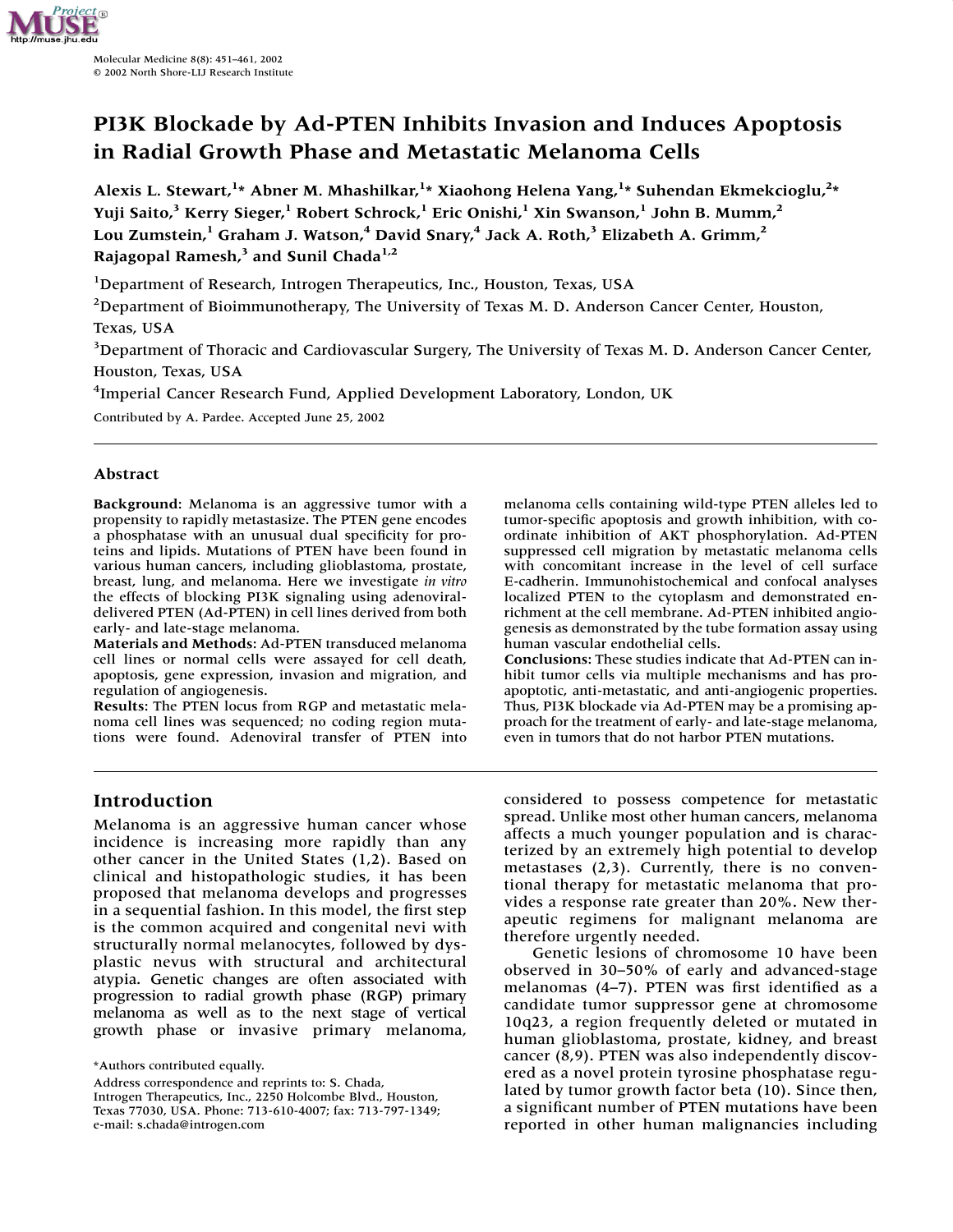Molecular Medicine 8(8): 451–461, 2002 © 2002 North Shore-LIJ Research Institute

# **PI3K Blockade by Ad-PTEN Inhibits Invasion and Induces Apoptosis in Radial Growth Phase and Metastatic Melanoma Cells**

Alexis L. Stewart,<sup>1</sup>\* Abner M. Mhashilkar,<sup>1</sup>\* Xiaohong Helena Yang,<sup>1</sup>\* Suhendan Ekmekcioglu,<sup>2</sup>\* **Yuji Saito,3 Kerry Sieger,1 Robert Schrock,1 Eric Onishi,1 Xin Swanson,1 John B. Mumm,2** Lou Zumstein,<sup>1</sup> Graham J. Watson,<sup>4</sup> David Snary,<sup>4</sup> Jack A. Roth,<sup>3</sup> Elizabeth A. Grimm,<sup>2</sup> **Rajagopal Ramesh,3 and Sunil Chada1,2**

<sup>1</sup>Department of Research, Introgen Therapeutics, Inc., Houston, Texas, USA

 $2$ Department of Bioimmunotherapy, The University of Texas M. D. Anderson Cancer Center, Houston, Texas, USA

<sup>3</sup>Department of Thoracic and Cardiovascular Surgery, The University of Texas M. D. Anderson Cancer Center, Houston, Texas, USA

<sup>4</sup>Imperial Cancer Research Fund, Applied Development Laboratory, London, UK

Contributed by A. Pardee. Accepted June 25, 2002

### **Abstract**

**Background:** Melanoma is an aggressive tumor with a propensity to rapidly metastasize. The PTEN gene encodes a phosphatase with an unusual dual specificity for proteins and lipids. Mutations of PTEN have been found in various human cancers, including glioblastoma, prostate, breast, lung, and melanoma. Here we investigate *in vitro* the effects of blocking PI3K signaling using adenoviraldelivered PTEN (Ad-PTEN) in cell lines derived from both early- and late-stage melanoma.

**Materials and Methods:** Ad-PTEN transduced melanoma cell lines or normal cells were assayed for cell death, apoptosis, gene expression, invasion and migration, and regulation of angiogenesis.

**Results:** The PTEN locus from RGP and metastatic melanoma cell lines was sequenced; no coding region mutations were found. Adenoviral transfer of PTEN into melanoma cells containing wild-type PTEN alleles led to tumor-specific apoptosis and growth inhibition, with coordinate inhibition of AKT phosphorylation. Ad-PTEN suppressed cell migration by metastatic melanoma cells with concomitant increase in the level of cell surface E-cadherin. Immunohistochemical and confocal analyses localized PTEN to the cytoplasm and demonstrated enrichment at the cell membrane. Ad-PTEN inhibited angiogenesis as demonstrated by the tube formation assay using human vascular endothelial cells.

**Conclusions:** These studies indicate that Ad-PTEN can inhibit tumor cells via multiple mechanisms and has proapoptotic, anti-metastatic, and anti-angiogenic properties. Thus, PI3K blockade via Ad-PTEN may be a promising approach for the treatment of early- and late-stage melanoma, even in tumors that do not harbor PTEN mutations.

# **Introduction**

Melanoma is an aggressive human cancer whose incidence is increasing more rapidly than any other cancer in the United States (1,2). Based on clinical and histopathologic studies, it has been proposed that melanoma develops and progresses in a sequential fashion. In this model, the first step is the common acquired and congenital nevi with structurally normal melanocytes, followed by dysplastic nevus with structural and architectural atypia. Genetic changes are often associated with progression to radial growth phase (RGP) primary melanoma as well as to the next stage of vertical growth phase or invasive primary melanoma,

\*Authors contributed equally.

Address correspondence and reprints to: S. Chada, Introgen Therapeutics, Inc., 2250 Holcombe Blvd., Houston, Texas 77030, USA. Phone: 713-610-4007; fax: 713-797-1349; e-mail: s.chada@introgen.com

considered to possess competence for metastatic spread. Unlike most other human cancers, melanoma affects a much younger population and is characterized by an extremely high potential to develop metastases (2,3). Currently, there is no conventional therapy for metastatic melanoma that provides a response rate greater than 20%. New therapeutic regimens for malignant melanoma are therefore urgently needed.

Genetic lesions of chromosome 10 have been observed in 30–50% of early and advanced-stage melanomas (4–7). PTEN was first identified as a candidate tumor suppressor gene at chromosome 10q23, a region frequently deleted or mutated in human glioblastoma, prostate, kidney, and breast cancer (8,9). PTEN was also independently discovered as a novel protein tyrosine phosphatase regulated by tumor growth factor beta (10). Since then, a significant number of PTEN mutations have been reported in other human malignancies including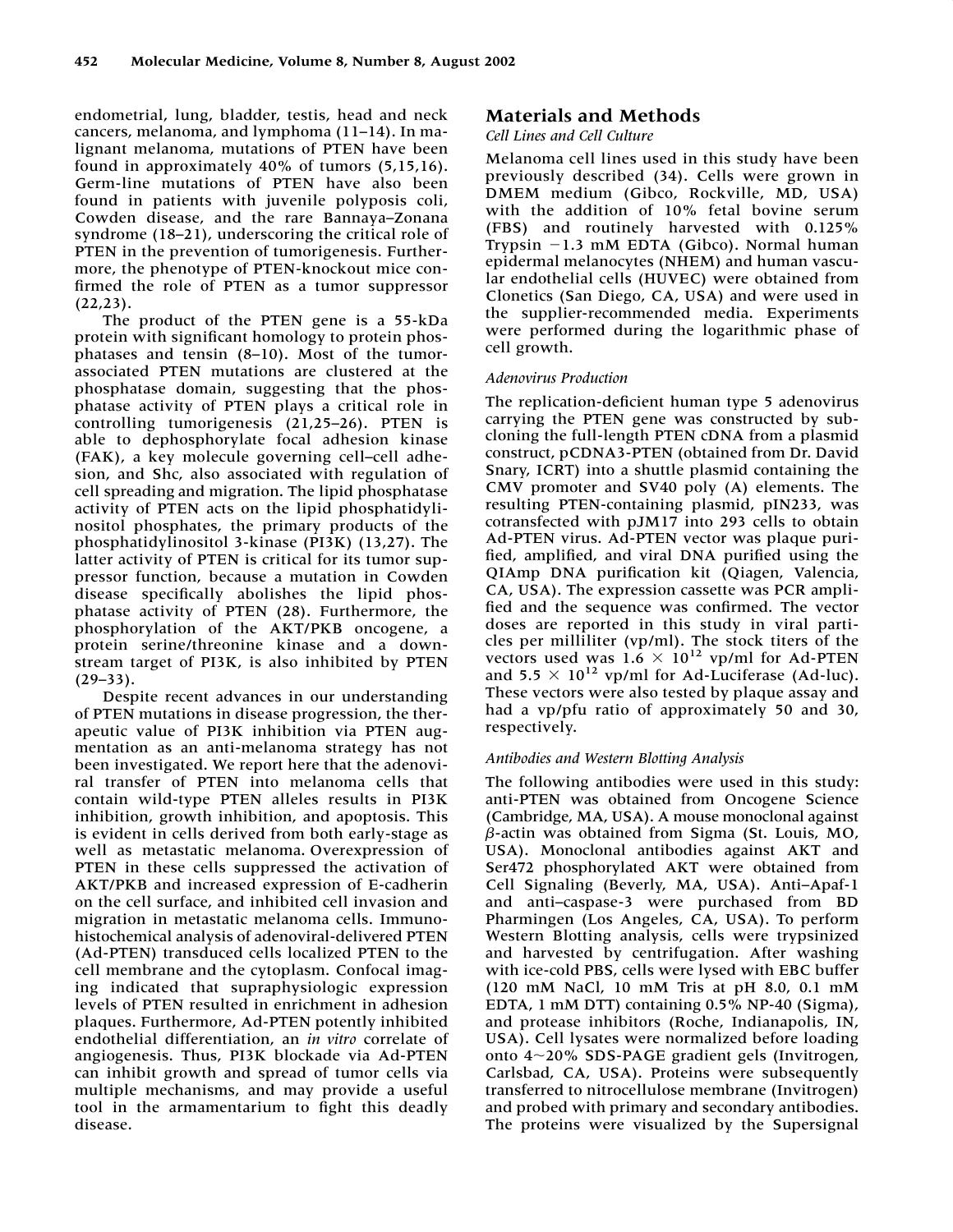endometrial, lung, bladder, testis, head and neck cancers, melanoma, and lymphoma (11–14). In malignant melanoma, mutations of PTEN have been found in approximately 40% of tumors (5,15,16). Germ-line mutations of PTEN have also been found in patients with juvenile polyposis coli, Cowden disease, and the rare Bannaya–Zonana syndrome (18–21), underscoring the critical role of PTEN in the prevention of tumorigenesis. Furthermore, the phenotype of PTEN-knockout mice confirmed the role of PTEN as a tumor suppressor  $(22, 23)$ .

The product of the PTEN gene is a 55-kDa protein with significant homology to protein phosphatases and tensin (8–10). Most of the tumorassociated PTEN mutations are clustered at the phosphatase domain, suggesting that the phosphatase activity of PTEN plays a critical role in controlling tumorigenesis (21,25–26). PTEN is able to dephosphorylate focal adhesion kinase (FAK), a key molecule governing cell–cell adhesion, and Shc, also associated with regulation of cell spreading and migration. The lipid phosphatase activity of PTEN acts on the lipid phosphatidylinositol phosphates, the primary products of the phosphatidylinositol 3-kinase (PI3K) (13,27). The latter activity of PTEN is critical for its tumor suppressor function, because a mutation in Cowden disease specifically abolishes the lipid phosphatase activity of PTEN (28). Furthermore, the phosphorylation of the AKT/PKB oncogene, a protein serine/threonine kinase and a downstream target of PI3K, is also inhibited by PTEN  $(29-33)$ .

Despite recent advances in our understanding of PTEN mutations in disease progression, the therapeutic value of PI3K inhibition via PTEN augmentation as an anti-melanoma strategy has not been investigated. We report here that the adenoviral transfer of PTEN into melanoma cells that contain wild-type PTEN alleles results in PI3K inhibition, growth inhibition, and apoptosis. This is evident in cells derived from both early-stage as well as metastatic melanoma. Overexpression of PTEN in these cells suppressed the activation of AKT/PKB and increased expression of E-cadherin on the cell surface, and inhibited cell invasion and migration in metastatic melanoma cells. Immunohistochemical analysis of adenoviral-delivered PTEN (Ad-PTEN) transduced cells localized PTEN to the cell membrane and the cytoplasm. Confocal imaging indicated that supraphysiologic expression levels of PTEN resulted in enrichment in adhesion plaques. Furthermore, Ad-PTEN potently inhibited endothelial differentiation, an *in vitro* correlate of angiogenesis. Thus, PI3K blockade via Ad-PTEN can inhibit growth and spread of tumor cells via multiple mechanisms, and may provide a useful tool in the armamentarium to fight this deadly disease.

# **Materials and Methods**

## *Cell Lines and Cell Culture*

Melanoma cell lines used in this study have been previously described (34). Cells were grown in DMEM medium (Gibco, Rockville, MD, USA) with the addition of 10% fetal bovine serum (FBS) and routinely harvested with 0.125% Trypsin  $-1.3$  mM EDTA (Gibco). Normal human epidermal melanocytes (NHEM) and human vascular endothelial cells (HUVEC) were obtained from Clonetics (San Diego, CA, USA) and were used in the supplier-recommended media. Experiments were performed during the logarithmic phase of cell growth.

## *Adenovirus Production*

The replication-deficient human type 5 adenovirus carrying the PTEN gene was constructed by subcloning the full-length PTEN cDNA from a plasmid construct, pCDNA3-PTEN (obtained from Dr. David Snary, ICRT) into a shuttle plasmid containing the CMV promoter and SV40 poly (A) elements. The resulting PTEN-containing plasmid, pIN233, was cotransfected with pJM17 into 293 cells to obtain Ad-PTEN virus. Ad-PTEN vector was plaque purified, amplified, and viral DNA purified using the QIAmp DNA purification kit (Qiagen, Valencia, CA, USA). The expression cassette was PCR amplified and the sequence was confirmed. The vector doses are reported in this study in viral particles per milliliter (vp/ml). The stock titers of the vectors used was  $1.6 \times 10^{12}$  vp/ml for Ad-PTEN and  $5.5 \times 10^{12}$  vp/ml for Ad-Luciferase (Ad-luc). These vectors were also tested by plaque assay and had a vp/pfu ratio of approximately 50 and 30, respectively.

# *Antibodies and Western Blotting Analysis*

The following antibodies were used in this study: anti-PTEN was obtained from Oncogene Science (Cambridge, MA, USA). A mouse monoclonal against  $\beta$ -actin was obtained from Sigma (St. Louis, MO, USA). Monoclonal antibodies against AKT and Ser472 phosphorylated AKT were obtained from Cell Signaling (Beverly, MA, USA). Anti–Apaf-1 and anti–caspase-3 were purchased from BD Pharmingen (Los Angeles, CA, USA). To perform Western Blotting analysis, cells were trypsinized and harvested by centrifugation. After washing with ice-cold PBS, cells were lysed with EBC buffer (120 mM NaCl, 10 mM Tris at pH 8.0, 0.1 mM EDTA, 1 mM DTT) containing 0.5% NP-40 (Sigma), and protease inhibitors (Roche, Indianapolis, IN, USA). Cell lysates were normalized before loading onto  $4 \sim 20\%$  SDS-PAGE gradient gels (Invitrogen, Carlsbad, CA, USA). Proteins were subsequently transferred to nitrocellulose membrane (Invitrogen) and probed with primary and secondary antibodies. The proteins were visualized by the Supersignal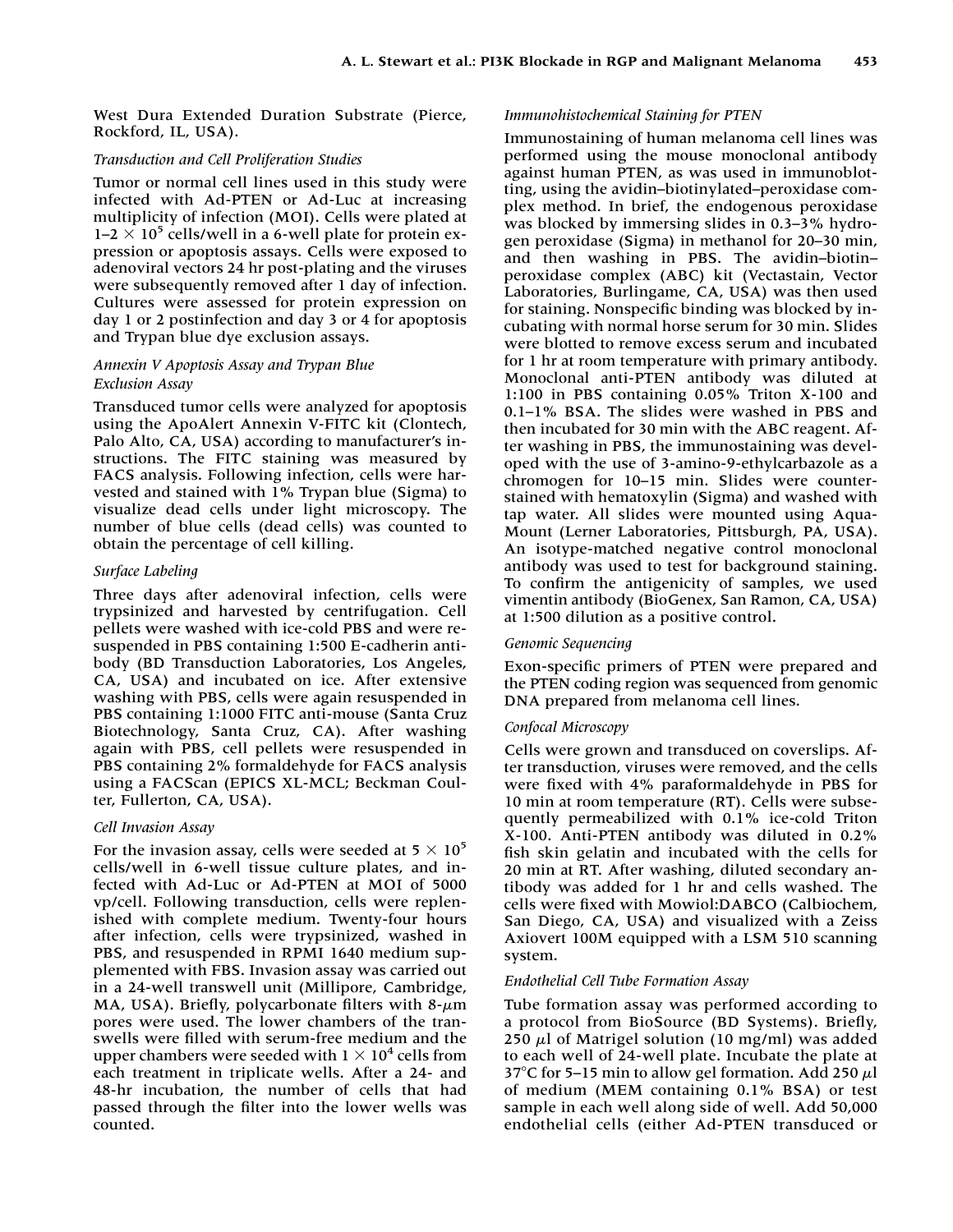West Dura Extended Duration Substrate (Pierce, Rockford, IL, USA).

#### *Transduction and Cell Proliferation Studies*

Tumor or normal cell lines used in this study were infected with Ad-PTEN or Ad-Luc at increasing multiplicity of infection (MOI). Cells were plated at  $1-2 \times 10^5$  cells/well in a 6-well plate for protein expression or apoptosis assays. Cells were exposed to adenoviral vectors 24 hr post-plating and the viruses were subsequently removed after 1 day of infection. Cultures were assessed for protein expression on day 1 or 2 postinfection and day 3 or 4 for apoptosis and Trypan blue dye exclusion assays.

## *Annexin V Apoptosis Assay and Trypan Blue Exclusion Assay*

Transduced tumor cells were analyzed for apoptosis using the ApoAlert Annexin V-FITC kit (Clontech, Palo Alto, CA, USA) according to manufacturer's instructions. The FITC staining was measured by FACS analysis. Following infection, cells were harvested and stained with 1% Trypan blue (Sigma) to visualize dead cells under light microscopy. The number of blue cells (dead cells) was counted to obtain the percentage of cell killing.

### *Surface Labeling*

Three days after adenoviral infection, cells were trypsinized and harvested by centrifugation. Cell pellets were washed with ice-cold PBS and were resuspended in PBS containing 1:500 E-cadherin antibody (BD Transduction Laboratories, Los Angeles, CA, USA) and incubated on ice. After extensive washing with PBS, cells were again resuspended in PBS containing 1:1000 FITC anti-mouse (Santa Cruz Biotechnology, Santa Cruz, CA). After washing again with PBS, cell pellets were resuspended in PBS containing 2% formaldehyde for FACS analysis using a FACScan (EPICS XL-MCL; Beckman Coulter, Fullerton, CA, USA).

# *Cell Invasion Assay*

For the invasion assay, cells were seeded at 5  $\times$  10<sup>5</sup> cells/well in 6-well tissue culture plates, and infected with Ad-Luc or Ad-PTEN at MOI of 5000 vp/cell. Following transduction, cells were replenished with complete medium. Twenty-four hours after infection, cells were trypsinized, washed in PBS, and resuspended in RPMI 1640 medium supplemented with FBS. Invasion assay was carried out in a 24-well transwell unit (Millipore, Cambridge, MA, USA). Briefly, polycarbonate filters with 8- $\mu$ m pores were used. The lower chambers of the transwells were filled with serum-free medium and the upper chambers were seeded with 1  $\times$  10<sup>4</sup> cells from each treatment in triplicate wells. After a 24- and 48-hr incubation, the number of cells that had passed through the filter into the lower wells was counted.

#### *Immunohistochemical Staining for PTEN*

Immunostaining of human melanoma cell lines was performed using the mouse monoclonal antibody against human PTEN, as was used in immunoblotting, using the avidin–biotinylated–peroxidase complex method. In brief, the endogenous peroxidase was blocked by immersing slides in 0.3–3% hydrogen peroxidase (Sigma) in methanol for 20–30 min, and then washing in PBS. The avidin–biotin– peroxidase complex (ABC) kit (Vectastain, Vector Laboratories, Burlingame, CA, USA) was then used for staining. Nonspecific binding was blocked by incubating with normal horse serum for 30 min. Slides were blotted to remove excess serum and incubated for 1 hr at room temperature with primary antibody. Monoclonal anti-PTEN antibody was diluted at 1:100 in PBS containing 0.05% Triton X-100 and 0.1–1% BSA. The slides were washed in PBS and then incubated for 30 min with the ABC reagent. After washing in PBS, the immunostaining was developed with the use of 3-amino-9-ethylcarbazole as a chromogen for 10–15 min. Slides were counterstained with hematoxylin (Sigma) and washed with tap water. All slides were mounted using Aqua-Mount (Lerner Laboratories, Pittsburgh, PA, USA). An isotype-matched negative control monoclonal antibody was used to test for background staining. To confirm the antigenicity of samples, we used vimentin antibody (BioGenex, San Ramon, CA, USA) at 1:500 dilution as a positive control.

### *Genomic Sequencing*

Exon-specific primers of PTEN were prepared and the PTEN coding region was sequenced from genomic DNA prepared from melanoma cell lines.

### *Confocal Microscopy*

Cells were grown and transduced on coverslips. After transduction, viruses were removed, and the cells were fixed with 4% paraformaldehyde in PBS for 10 min at room temperature (RT). Cells were subsequently permeabilized with 0.1% ice-cold Triton X-100. Anti-PTEN antibody was diluted in 0.2% fish skin gelatin and incubated with the cells for 20 min at RT. After washing, diluted secondary antibody was added for 1 hr and cells washed. The cells were fixed with Mowiol:DABCO (Calbiochem, San Diego, CA, USA) and visualized with a Zeiss Axiovert 100M equipped with a LSM 510 scanning system.

### *Endothelial Cell Tube Formation Assay*

Tube formation assay was performed according to a protocol from BioSource (BD Systems). Briefly, 250 µl of Matrigel solution (10 mg/ml) was added to each well of 24-well plate. Incubate the plate at 37°C for 5–15 min to allow gel formation. Add 250  $\mu$ l of medium (MEM containing 0.1% BSA) or test sample in each well along side of well. Add 50,000 endothelial cells (either Ad-PTEN transduced or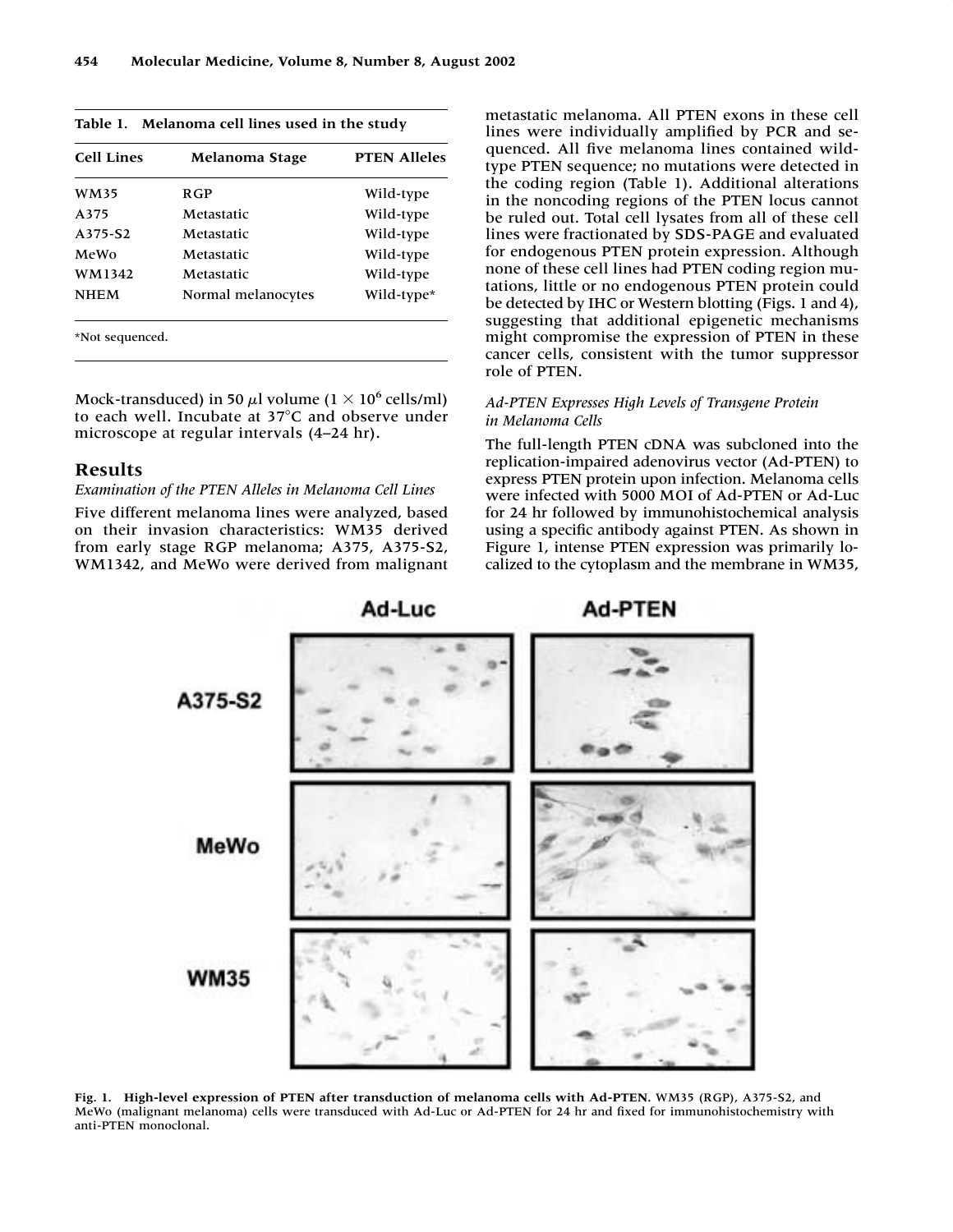**Table 1. Melanoma cell lines used in the study**

| <b>PTEN Alleles</b> | Melanoma Stage     | <b>Cell Lines</b> |
|---------------------|--------------------|-------------------|
| Wild-type           | RGP                | <b>WM35</b>       |
| Wild-type           | Metastatic         | A375              |
| Wild-type           | Metastatic         | A375-S2           |
| Wild-type           | Metastatic         | MeWo              |
| Wild-type           | Metastatic         | WM1342            |
| Wild-type*          | Normal melanocytes | <b>NHEM</b>       |
|                     |                    | *Not sequenced.   |

Mock-transduced) in 50  $\mu$ l volume ( $1 \times 10^6$  cells/ml) to each well. Incubate at 37°C and observe under microscope at regular intervals (4–24 hr).

## **Results**

*Examination of the PTEN Alleles in Melanoma Cell Lines*

Five different melanoma lines were analyzed, based on their invasion characteristics: WM35 derived from early stage RGP melanoma; A375, A375-S2, WM1342, and MeWo were derived from malignant metastatic melanoma. All PTEN exons in these cell lines were individually amplified by PCR and sequenced. All five melanoma lines contained wildtype PTEN sequence; no mutations were detected in the coding region (Table 1). Additional alterations in the noncoding regions of the PTEN locus cannot be ruled out. Total cell lysates from all of these cell lines were fractionated by SDS-PAGE and evaluated for endogenous PTEN protein expression. Although none of these cell lines had PTEN coding region mutations, little or no endogenous PTEN protein could be detected by IHC or Western blotting (Figs. 1 and 4), suggesting that additional epigenetic mechanisms might compromise the expression of PTEN in these cancer cells, consistent with the tumor suppressor role of PTEN.

## *Ad-PTEN Expresses High Levels of Transgene Protein in Melanoma Cells*

The full-length PTEN cDNA was subcloned into the replication-impaired adenovirus vector (Ad-PTEN) to express PTEN protein upon infection. Melanoma cells were infected with 5000 MOI of Ad-PTEN or Ad-Luc for 24 hr followed by immunohistochemical analysis using a specific antibody against PTEN. As shown in Figure 1, intense PTEN expression was primarily localized to the cytoplasm and the membrane in WM35,



**Fig. 1. High-level expression of PTEN after transduction of melanoma cells with Ad-PTEN.** WM35 (RGP), A375-S2, and MeWo (malignant melanoma) cells were transduced with Ad-Luc or Ad-PTEN for 24 hr and fixed for immunohistochemistry with anti-PTEN monoclonal.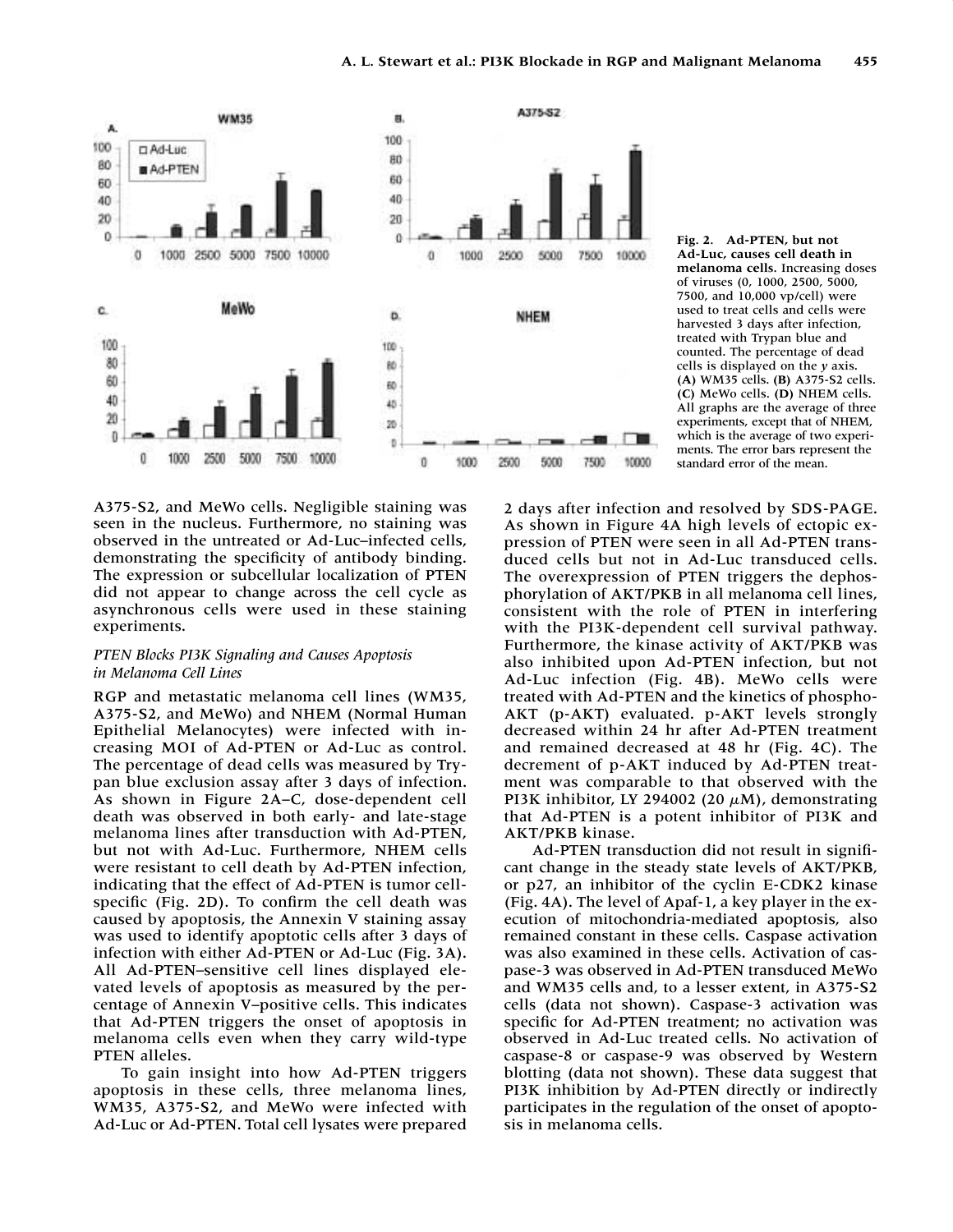

**Fig. 2. Ad-PTEN, but not Ad-Luc, causes cell death in melanoma cells.** Increasing doses of viruses (0, 1000, 2500, 5000, 7500, and 10,000 vp/cell) were used to treat cells and cells were harvested 3 days after infection, treated with Trypan blue and counted. The percentage of dead cells is displayed on the *y* axis. **(A)** WM35 cells. **(B)** A375-S2 cells. **(C)** MeWo cells. **(D)** NHEM cells. All graphs are the average of three experiments, except that of NHEM, which is the average of two experiments. The error bars represent the standard error of the mean.

A375-S2, and MeWo cells. Negligible staining was seen in the nucleus. Furthermore, no staining was observed in the untreated or Ad-Luc–infected cells, demonstrating the specificity of antibody binding. The expression or subcellular localization of PTEN did not appear to change across the cell cycle as asynchronous cells were used in these staining experiments.

## *PTEN Blocks PI3K Signaling and Causes Apoptosis in Melanoma Cell Lines*

RGP and metastatic melanoma cell lines (WM35, A375-S2, and MeWo) and NHEM (Normal Human Epithelial Melanocytes) were infected with increasing MOI of Ad-PTEN or Ad-Luc as control. The percentage of dead cells was measured by Trypan blue exclusion assay after 3 days of infection. As shown in Figure 2A–C, dose-dependent cell death was observed in both early- and late-stage melanoma lines after transduction with Ad-PTEN, but not with Ad-Luc. Furthermore, NHEM cells were resistant to cell death by Ad-PTEN infection, indicating that the effect of Ad-PTEN is tumor cellspecific (Fig. 2D). To confirm the cell death was caused by apoptosis, the Annexin V staining assay was used to identify apoptotic cells after 3 days of infection with either Ad-PTEN or Ad-Luc (Fig. 3A). All Ad-PTEN–sensitive cell lines displayed elevated levels of apoptosis as measured by the percentage of Annexin V–positive cells. This indicates that Ad-PTEN triggers the onset of apoptosis in melanoma cells even when they carry wild-type PTEN alleles.

To gain insight into how Ad-PTEN triggers apoptosis in these cells, three melanoma lines, WM35, A375-S2, and MeWo were infected with Ad-Luc or Ad-PTEN. Total cell lysates were prepared 2 days after infection and resolved by SDS-PAGE. As shown in Figure 4A high levels of ectopic expression of PTEN were seen in all Ad-PTEN transduced cells but not in Ad-Luc transduced cells. The overexpression of PTEN triggers the dephosphorylation of AKT/PKB in all melanoma cell lines, consistent with the role of PTEN in interfering with the PI3K-dependent cell survival pathway. Furthermore, the kinase activity of AKT/PKB was also inhibited upon Ad-PTEN infection, but not Ad-Luc infection (Fig. 4B). MeWo cells were treated with Ad-PTEN and the kinetics of phospho-AKT (p-AKT) evaluated. p-AKT levels strongly decreased within 24 hr after Ad-PTEN treatment and remained decreased at 48 hr (Fig. 4C). The decrement of p-AKT induced by Ad-PTEN treatment was comparable to that observed with the PI3K inhibitor, LY 294002 (20  $\mu$ M), demonstrating that Ad-PTEN is a potent inhibitor of PI3K and AKT/PKB kinase.

Ad-PTEN transduction did not result in significant change in the steady state levels of AKT/PKB, or p27, an inhibitor of the cyclin E-CDK2 kinase (Fig. 4A). The level of Apaf-1, a key player in the execution of mitochondria-mediated apoptosis, also remained constant in these cells. Caspase activation was also examined in these cells. Activation of caspase-3 was observed in Ad-PTEN transduced MeWo and WM35 cells and, to a lesser extent, in A375-S2 cells (data not shown). Caspase-3 activation was specific for Ad-PTEN treatment; no activation was observed in Ad-Luc treated cells. No activation of caspase-8 or caspase-9 was observed by Western blotting (data not shown). These data suggest that PI3K inhibition by Ad-PTEN directly or indirectly participates in the regulation of the onset of apoptosis in melanoma cells.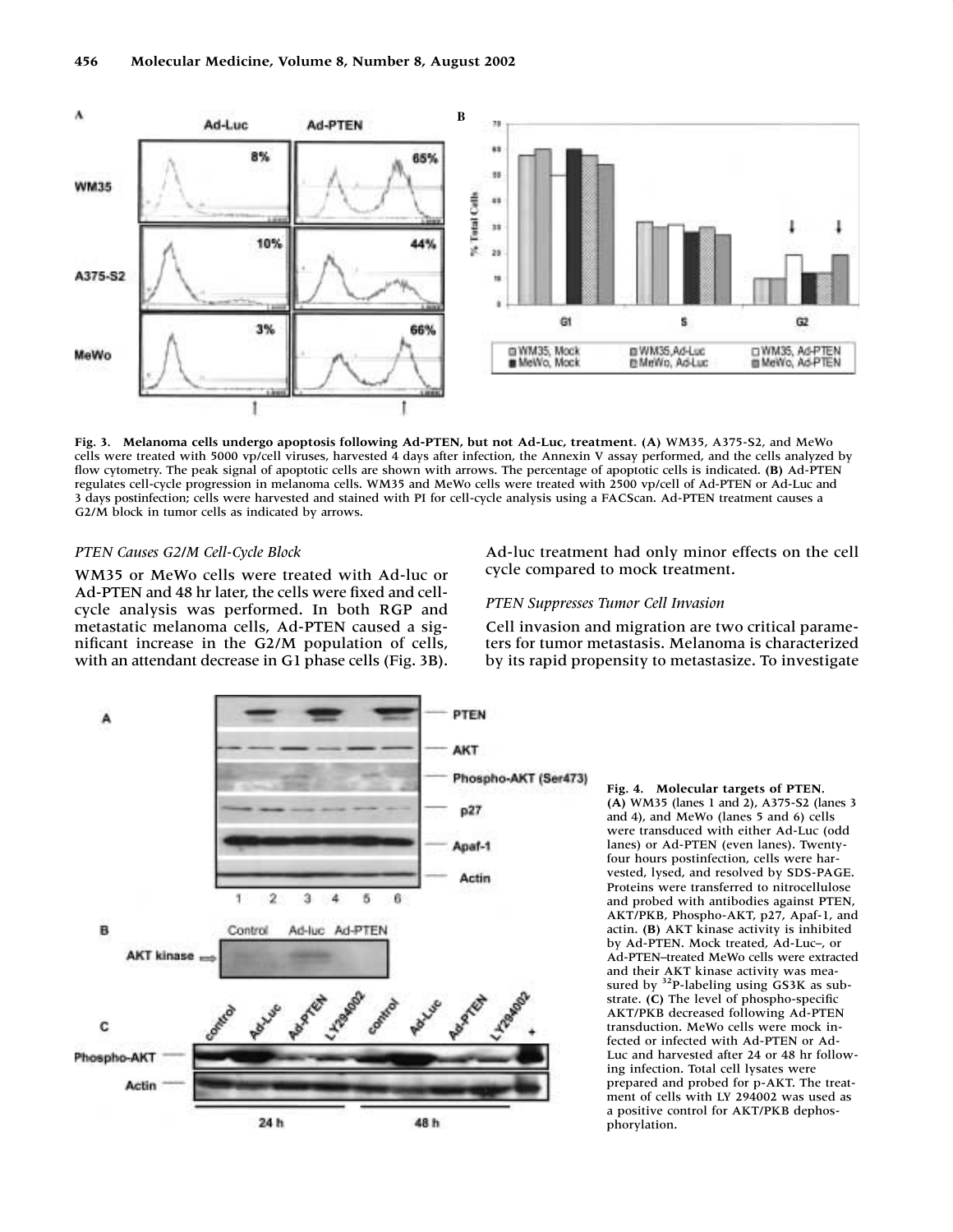

**Fig. 3. Melanoma cells undergo apoptosis following Ad-PTEN, but not Ad-Luc, treatment. (A)** WM35, A375-S2, and MeWo cells were treated with 5000 vp/cell viruses, harvested 4 days after infection, the Annexin V assay performed, and the cells analyzed by flow cytometry. The peak signal of apoptotic cells are shown with arrows. The percentage of apoptotic cells is indicated. **(B)** Ad-PTEN regulates cell-cycle progression in melanoma cells. WM35 and MeWo cells were treated with 2500 vp/cell of Ad-PTEN or Ad-Luc and 3 days postinfection; cells were harvested and stained with PI for cell-cycle analysis using a FACScan. Ad-PTEN treatment causes a G2/M block in tumor cells as indicated by arrows.

#### *PTEN Causes G2/M Cell-Cycle Block*

WM35 or MeWo cells were treated with Ad-luc or Ad-PTEN and 48 hr later, the cells were fixed and cellcycle analysis was performed. In both RGP and metastatic melanoma cells, Ad-PTEN caused a significant increase in the G2/M population of cells, with an attendant decrease in G1 phase cells (Fig. 3B).

Ad-luc treatment had only minor effects on the cell cycle compared to mock treatment.

#### *PTEN Suppresses Tumor Cell Invasion*

Cell invasion and migration are two critical parameters for tumor metastasis. Melanoma is characterized by its rapid propensity to metastasize. To investigate



**Fig. 4. Molecular targets of PTEN. (A)** WM35 (lanes 1 and 2), A375-S2 (lanes 3 and 4), and MeWo (lanes 5 and 6) cells were transduced with either Ad-Luc (odd lanes) or Ad-PTEN (even lanes). Twentyfour hours postinfection, cells were harvested, lysed, and resolved by SDS-PAGE. Proteins were transferred to nitrocellulose and probed with antibodies against PTEN, AKT/PKB, Phospho-AKT, p27, Apaf-1, and actin. **(B)** AKT kinase activity is inhibited by Ad-PTEN. Mock treated, Ad-Luc–, or Ad-PTEN–treated MeWo cells were extracted and their AKT kinase activity was mea-<br>sured by <sup>32</sup>P-labeling using GS3K as substrate. **(C)** The level of phospho-specific AKT/PKB decreased following Ad-PTEN transduction. MeWo cells were mock infected or infected with Ad-PTEN or Ad-Luc and harvested after 24 or 48 hr following infection. Total cell lysates were prepared and probed for p-AKT. The treatment of cells with LY 294002 was used as a positive control for AKT/PKB dephosphorylation.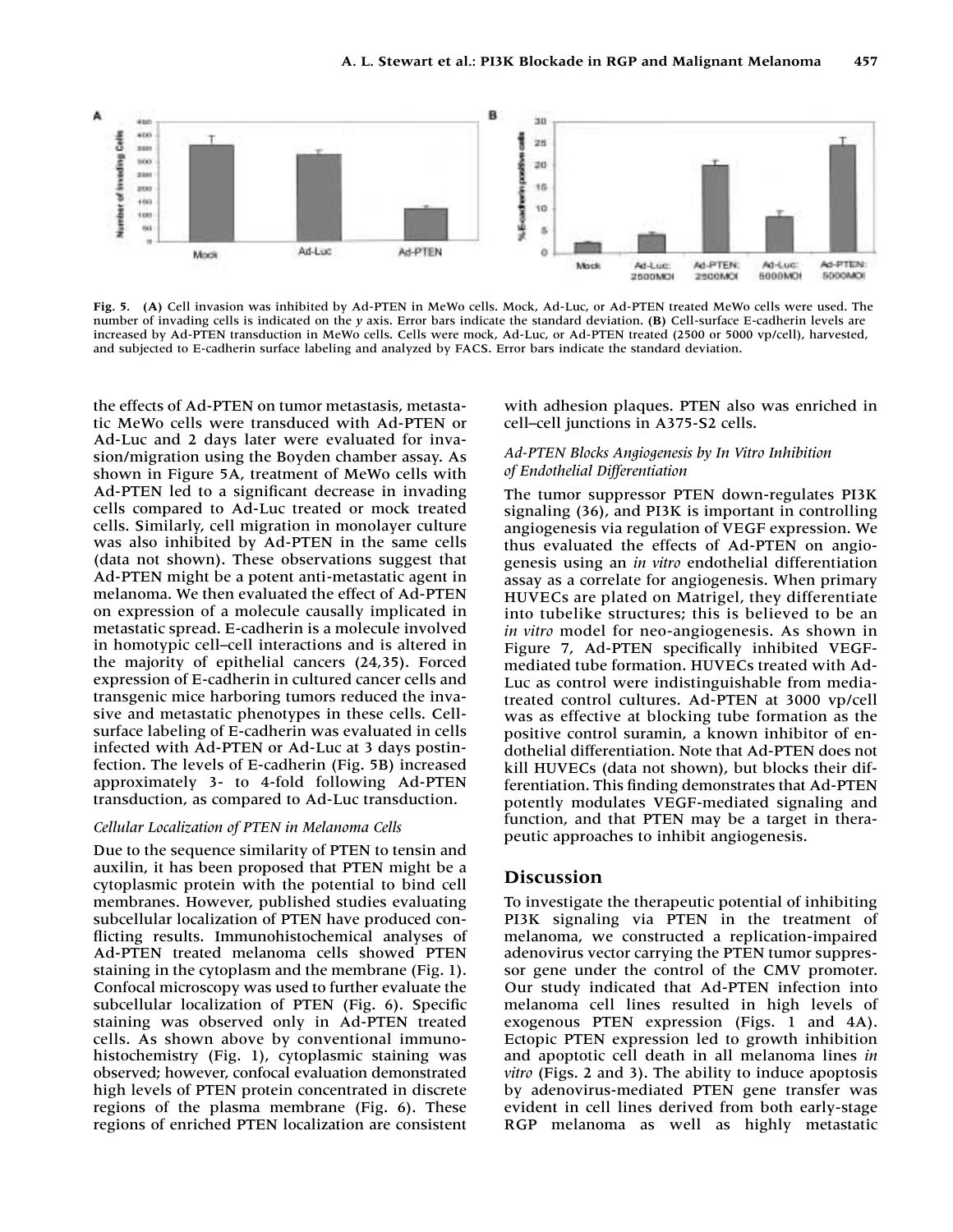

**Fig. 5. (A)** Cell invasion was inhibited by Ad-PTEN in MeWo cells. Mock, Ad-Luc, or Ad-PTEN treated MeWo cells were used. The number of invading cells is indicated on the *y* axis. Error bars indicate the standard deviation. **(B)** Cell-surface E-cadherin levels are increased by Ad-PTEN transduction in MeWo cells. Cells were mock, Ad-Luc, or Ad-PTEN treated (2500 or 5000 vp/cell), harvested, and subjected to E-cadherin surface labeling and analyzed by FACS. Error bars indicate the standard deviation.

the effects of Ad-PTEN on tumor metastasis, metastatic MeWo cells were transduced with Ad-PTEN or Ad-Luc and 2 days later were evaluated for invasion/migration using the Boyden chamber assay. As shown in Figure 5A, treatment of MeWo cells with Ad-PTEN led to a significant decrease in invading cells compared to Ad-Luc treated or mock treated cells. Similarly, cell migration in monolayer culture was also inhibited by Ad-PTEN in the same cells (data not shown). These observations suggest that Ad-PTEN might be a potent anti-metastatic agent in melanoma. We then evaluated the effect of Ad-PTEN on expression of a molecule causally implicated in metastatic spread. E-cadherin is a molecule involved in homotypic cell–cell interactions and is altered in the majority of epithelial cancers (24,35). Forced expression of E-cadherin in cultured cancer cells and transgenic mice harboring tumors reduced the invasive and metastatic phenotypes in these cells. Cellsurface labeling of E-cadherin was evaluated in cells infected with Ad-PTEN or Ad-Luc at 3 days postinfection. The levels of E-cadherin (Fig. 5B) increased approximately 3- to 4-fold following Ad-PTEN transduction, as compared to Ad-Luc transduction.

#### *Cellular Localization of PTEN in Melanoma Cells*

Due to the sequence similarity of PTEN to tensin and auxilin, it has been proposed that PTEN might be a cytoplasmic protein with the potential to bind cell membranes. However, published studies evaluating subcellular localization of PTEN have produced conflicting results. Immunohistochemical analyses of Ad-PTEN treated melanoma cells showed PTEN staining in the cytoplasm and the membrane (Fig. 1). Confocal microscopy was used to further evaluate the subcellular localization of PTEN (Fig. 6). Specific staining was observed only in Ad-PTEN treated cells. As shown above by conventional immunohistochemistry (Fig. 1), cytoplasmic staining was observed; however, confocal evaluation demonstrated high levels of PTEN protein concentrated in discrete regions of the plasma membrane (Fig. 6). These regions of enriched PTEN localization are consistent

with adhesion plaques. PTEN also was enriched in cell–cell junctions in A375-S2 cells.

## *Ad-PTEN Blocks Angiogenesis by In Vitro Inhibition of Endothelial Differentiation*

The tumor suppressor PTEN down-regulates PI3K signaling (36), and PI3K is important in controlling angiogenesis via regulation of VEGF expression. We thus evaluated the effects of Ad-PTEN on angiogenesis using an *in vitro* endothelial differentiation assay as a correlate for angiogenesis. When primary HUVECs are plated on Matrigel, they differentiate into tubelike structures; this is believed to be an *in vitro* model for neo-angiogenesis. As shown in Figure 7, Ad-PTEN specifically inhibited VEGFmediated tube formation. HUVECs treated with Ad-Luc as control were indistinguishable from mediatreated control cultures. Ad-PTEN at 3000 vp/cell was as effective at blocking tube formation as the positive control suramin, a known inhibitor of endothelial differentiation. Note that Ad-PTEN does not kill HUVECs (data not shown), but blocks their differentiation. This finding demonstrates that Ad-PTEN potently modulates VEGF-mediated signaling and function, and that PTEN may be a target in therapeutic approaches to inhibit angiogenesis.

#### **Discussion**

To investigate the therapeutic potential of inhibiting PI3K signaling via PTEN in the treatment of melanoma, we constructed a replication-impaired adenovirus vector carrying the PTEN tumor suppressor gene under the control of the CMV promoter. Our study indicated that Ad-PTEN infection into melanoma cell lines resulted in high levels of exogenous PTEN expression (Figs. 1 and 4A). Ectopic PTEN expression led to growth inhibition and apoptotic cell death in all melanoma lines *in vitro* (Figs. 2 and 3). The ability to induce apoptosis by adenovirus-mediated PTEN gene transfer was evident in cell lines derived from both early-stage RGP melanoma as well as highly metastatic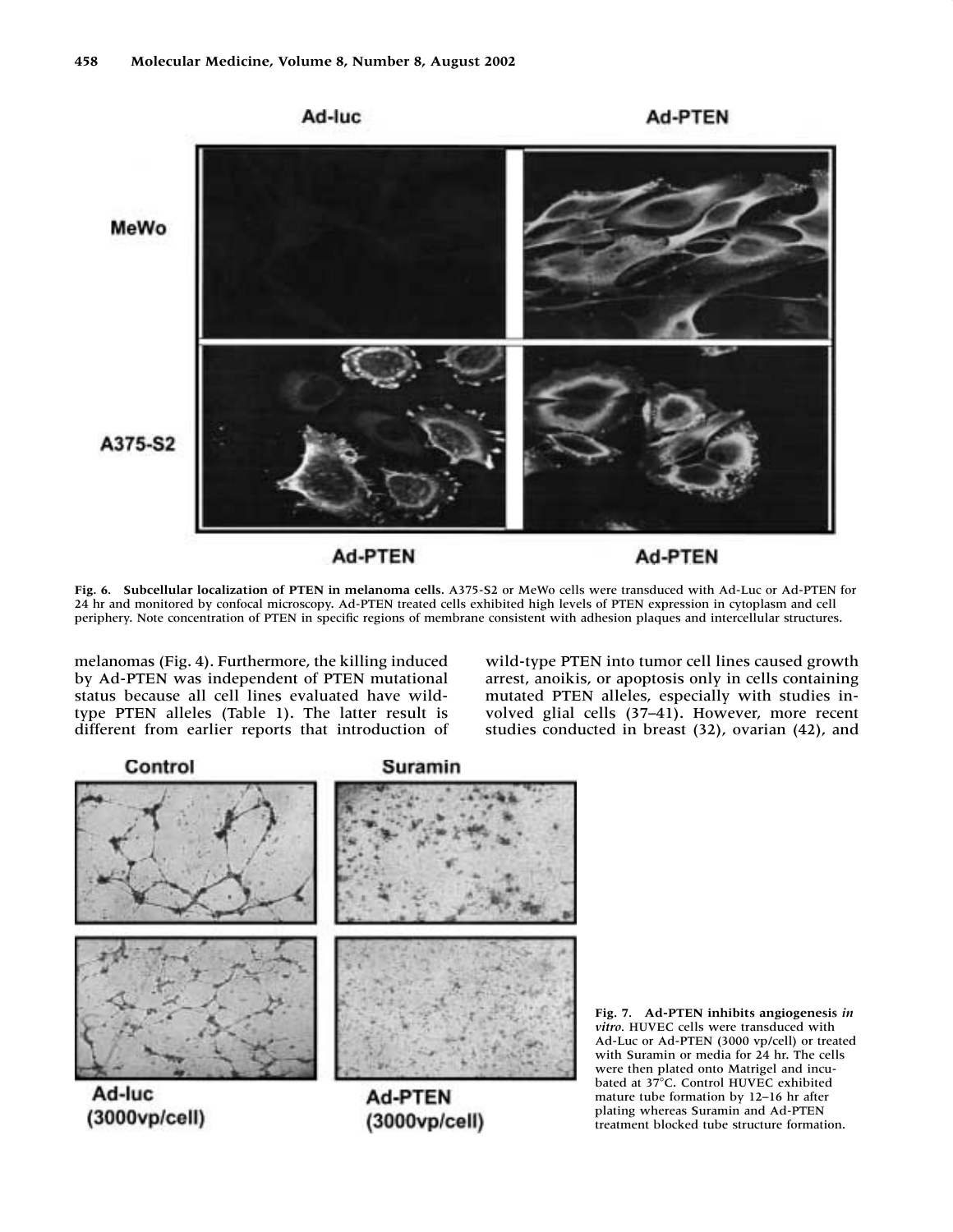

**Ad-PTEN** 

Ad-PTEN

**Fig. 6. Subcellular localization of PTEN in melanoma cells.** A375-S2 or MeWo cells were transduced with Ad-Luc or Ad-PTEN for 24 hr and monitored by confocal microscopy. Ad-PTEN treated cells exhibited high levels of PTEN expression in cytoplasm and cell periphery. Note concentration of PTEN in specific regions of membrane consistent with adhesion plaques and intercellular structures.

melanomas (Fig. 4). Furthermore, the killing induced by Ad-PTEN was independent of PTEN mutational status because all cell lines evaluated have wildtype PTEN alleles (Table 1). The latter result is different from earlier reports that introduction of

wild-type PTEN into tumor cell lines caused growth arrest, anoikis, or apoptosis only in cells containing mutated PTEN alleles, especially with studies involved glial cells (37–41). However, more recent studies conducted in breast (32), ovarian (42), and



**Fig. 7. Ad-PTEN inhibits angiogenesis** *in vitro.* HUVEC cells were transduced with Ad-Luc or Ad-PTEN (3000 vp/cell) or treated with Suramin or media for 24 hr. The cells were then plated onto Matrigel and incubated at 37°C. Control HUVEC exhibited mature tube formation by 12–16 hr after plating whereas Suramin and Ad-PTEN treatment blocked tube structure formation.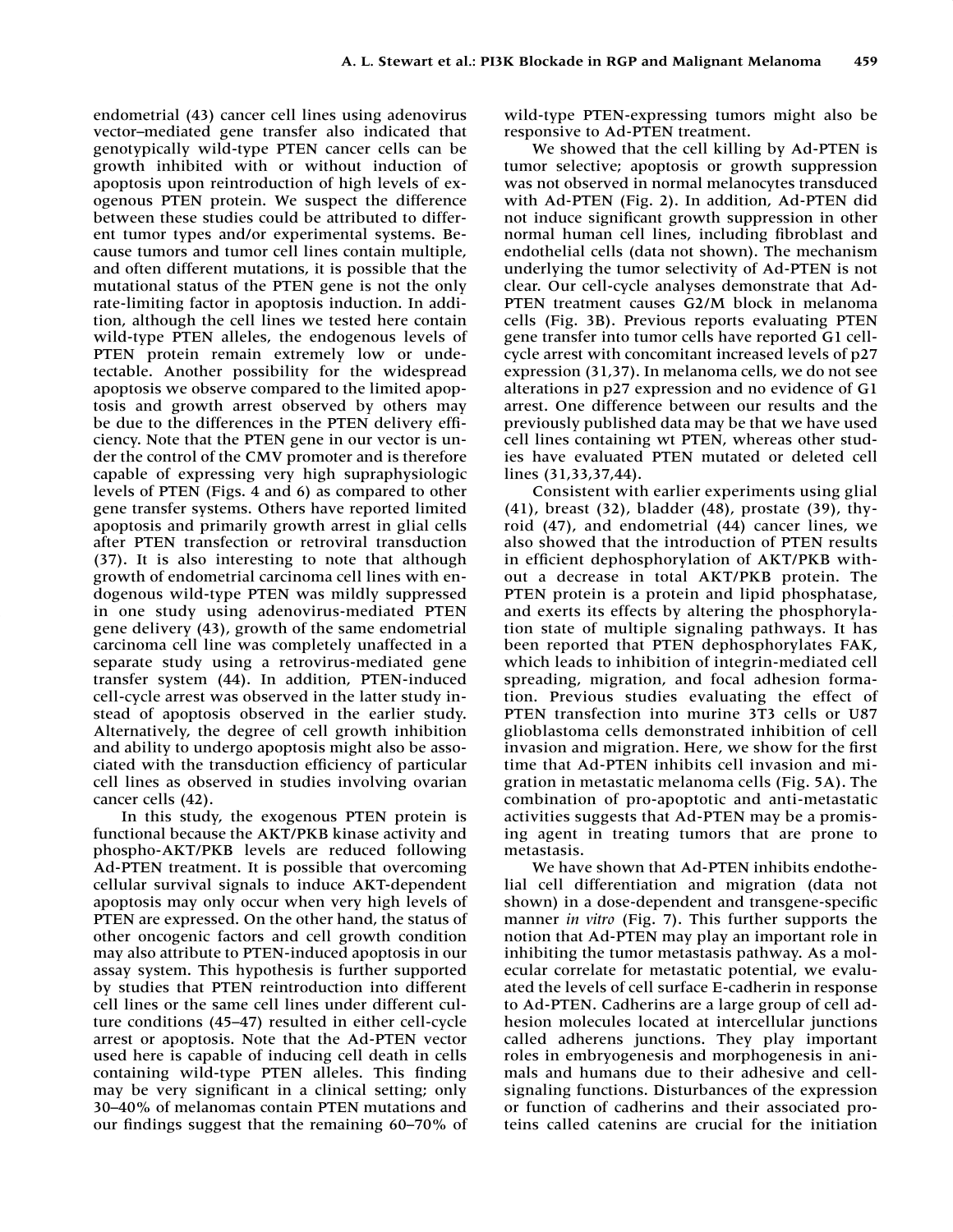endometrial (43) cancer cell lines using adenovirus vector–mediated gene transfer also indicated that genotypically wild-type PTEN cancer cells can be growth inhibited with or without induction of apoptosis upon reintroduction of high levels of exogenous PTEN protein. We suspect the difference between these studies could be attributed to different tumor types and/or experimental systems. Because tumors and tumor cell lines contain multiple, and often different mutations, it is possible that the mutational status of the PTEN gene is not the only rate-limiting factor in apoptosis induction. In addition, although the cell lines we tested here contain wild-type PTEN alleles, the endogenous levels of PTEN protein remain extremely low or undetectable. Another possibility for the widespread apoptosis we observe compared to the limited apoptosis and growth arrest observed by others may be due to the differences in the PTEN delivery efficiency. Note that the PTEN gene in our vector is under the control of the CMV promoter and is therefore capable of expressing very high supraphysiologic levels of PTEN (Figs. 4 and 6) as compared to other gene transfer systems. Others have reported limited apoptosis and primarily growth arrest in glial cells after PTEN transfection or retroviral transduction (37). It is also interesting to note that although growth of endometrial carcinoma cell lines with endogenous wild-type PTEN was mildly suppressed in one study using adenovirus-mediated PTEN gene delivery (43), growth of the same endometrial carcinoma cell line was completely unaffected in a separate study using a retrovirus-mediated gene transfer system (44). In addition, PTEN-induced cell-cycle arrest was observed in the latter study instead of apoptosis observed in the earlier study. Alternatively, the degree of cell growth inhibition and ability to undergo apoptosis might also be associated with the transduction efficiency of particular cell lines as observed in studies involving ovarian cancer cells (42).

In this study, the exogenous PTEN protein is functional because the AKT/PKB kinase activity and phospho-AKT/PKB levels are reduced following Ad-PTEN treatment. It is possible that overcoming cellular survival signals to induce AKT-dependent apoptosis may only occur when very high levels of PTEN are expressed. On the other hand, the status of other oncogenic factors and cell growth condition may also attribute to PTEN-induced apoptosis in our assay system. This hypothesis is further supported by studies that PTEN reintroduction into different cell lines or the same cell lines under different culture conditions (45–47) resulted in either cell-cycle arrest or apoptosis. Note that the Ad-PTEN vector used here is capable of inducing cell death in cells containing wild-type PTEN alleles. This finding may be very significant in a clinical setting; only 30–40% of melanomas contain PTEN mutations and our findings suggest that the remaining 60–70% of wild-type PTEN-expressing tumors might also be responsive to Ad-PTEN treatment.

We showed that the cell killing by Ad-PTEN is tumor selective; apoptosis or growth suppression was not observed in normal melanocytes transduced with Ad-PTEN (Fig. 2). In addition, Ad-PTEN did not induce significant growth suppression in other normal human cell lines, including fibroblast and endothelial cells (data not shown). The mechanism underlying the tumor selectivity of Ad-PTEN is not clear. Our cell-cycle analyses demonstrate that Ad-PTEN treatment causes G2/M block in melanoma cells (Fig. 3B). Previous reports evaluating PTEN gene transfer into tumor cells have reported G1 cellcycle arrest with concomitant increased levels of p27 expression (31,37). In melanoma cells, we do not see alterations in p27 expression and no evidence of G1 arrest. One difference between our results and the previously published data may be that we have used cell lines containing wt PTEN, whereas other studies have evaluated PTEN mutated or deleted cell lines (31,33,37,44).

Consistent with earlier experiments using glial (41), breast (32), bladder (48), prostate (39), thyroid (47), and endometrial (44) cancer lines, we also showed that the introduction of PTEN results in efficient dephosphorylation of AKT/PKB without a decrease in total AKT/PKB protein. The PTEN protein is a protein and lipid phosphatase, and exerts its effects by altering the phosphorylation state of multiple signaling pathways. It has been reported that PTEN dephosphorylates FAK, which leads to inhibition of integrin-mediated cell spreading, migration, and focal adhesion formation. Previous studies evaluating the effect of PTEN transfection into murine 3T3 cells or U87 glioblastoma cells demonstrated inhibition of cell invasion and migration. Here, we show for the first time that Ad-PTEN inhibits cell invasion and migration in metastatic melanoma cells (Fig. 5A). The combination of pro-apoptotic and anti-metastatic activities suggests that Ad-PTEN may be a promising agent in treating tumors that are prone to metastasis.

We have shown that Ad-PTEN inhibits endothelial cell differentiation and migration (data not shown) in a dose-dependent and transgene-specific manner *in vitro* (Fig. 7). This further supports the notion that Ad-PTEN may play an important role in inhibiting the tumor metastasis pathway. As a molecular correlate for metastatic potential, we evaluated the levels of cell surface E-cadherin in response to Ad-PTEN. Cadherins are a large group of cell adhesion molecules located at intercellular junctions called adherens junctions. They play important roles in embryogenesis and morphogenesis in animals and humans due to their adhesive and cellsignaling functions. Disturbances of the expression or function of cadherins and their associated proteins called catenins are crucial for the initiation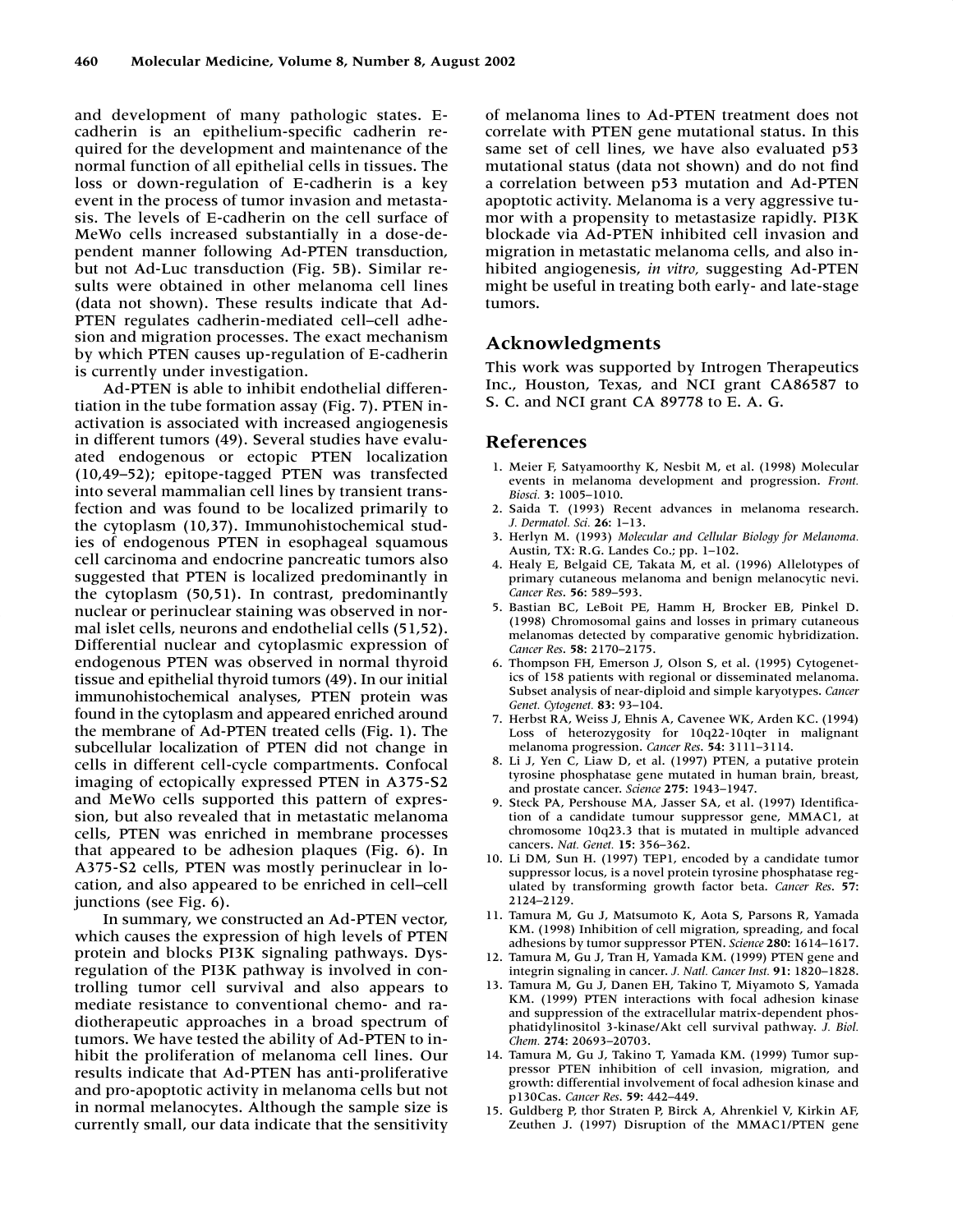and development of many pathologic states. Ecadherin is an epithelium-specific cadherin required for the development and maintenance of the normal function of all epithelial cells in tissues. The loss or down-regulation of E-cadherin is a key event in the process of tumor invasion and metastasis. The levels of E-cadherin on the cell surface of MeWo cells increased substantially in a dose-dependent manner following Ad-PTEN transduction, but not Ad-Luc transduction (Fig. 5B). Similar results were obtained in other melanoma cell lines (data not shown). These results indicate that Ad-PTEN regulates cadherin-mediated cell–cell adhesion and migration processes. The exact mechanism by which PTEN causes up-regulation of E-cadherin is currently under investigation.

Ad-PTEN is able to inhibit endothelial differentiation in the tube formation assay (Fig. 7). PTEN inactivation is associated with increased angiogenesis in different tumors (49). Several studies have evaluated endogenous or ectopic PTEN localization (10,49–52); epitope-tagged PTEN was transfected into several mammalian cell lines by transient transfection and was found to be localized primarily to the cytoplasm (10,37). Immunohistochemical studies of endogenous PTEN in esophageal squamous cell carcinoma and endocrine pancreatic tumors also suggested that PTEN is localized predominantly in the cytoplasm (50,51). In contrast, predominantly nuclear or perinuclear staining was observed in normal islet cells, neurons and endothelial cells (51,52). Differential nuclear and cytoplasmic expression of endogenous PTEN was observed in normal thyroid tissue and epithelial thyroid tumors (49). In our initial immunohistochemical analyses, PTEN protein was found in the cytoplasm and appeared enriched around the membrane of Ad-PTEN treated cells (Fig. 1). The subcellular localization of PTEN did not change in cells in different cell-cycle compartments. Confocal imaging of ectopically expressed PTEN in A375-S2 and MeWo cells supported this pattern of expression, but also revealed that in metastatic melanoma cells, PTEN was enriched in membrane processes that appeared to be adhesion plaques (Fig. 6). In A375-S2 cells, PTEN was mostly perinuclear in location, and also appeared to be enriched in cell–cell junctions (see Fig. 6).

In summary, we constructed an Ad-PTEN vector, which causes the expression of high levels of PTEN protein and blocks PI3K signaling pathways. Dysregulation of the PI3K pathway is involved in controlling tumor cell survival and also appears to mediate resistance to conventional chemo- and radiotherapeutic approaches in a broad spectrum of tumors. We have tested the ability of Ad-PTEN to inhibit the proliferation of melanoma cell lines. Our results indicate that Ad-PTEN has anti-proliferative and pro-apoptotic activity in melanoma cells but not in normal melanocytes. Although the sample size is currently small, our data indicate that the sensitivity of melanoma lines to Ad-PTEN treatment does not correlate with PTEN gene mutational status. In this same set of cell lines, we have also evaluated p53 mutational status (data not shown) and do not find a correlation between p53 mutation and Ad-PTEN apoptotic activity. Melanoma is a very aggressive tumor with a propensity to metastasize rapidly. PI3K blockade via Ad-PTEN inhibited cell invasion and migration in metastatic melanoma cells, and also inhibited angiogenesis, *in vitro,* suggesting Ad-PTEN might be useful in treating both early- and late-stage tumors.

# **Acknowledgments**

This work was supported by Introgen Therapeutics Inc., Houston, Texas, and NCI grant CA86587 to S. C. and NCI grant CA 89778 to E. A. G.

#### **References**

- 1. Meier F, Satyamoorthy K, Nesbit M, et al. (1998) Molecular events in melanoma development and progression. *Front. Biosci.* **3:** 1005–1010.
- 2. Saida T. (1993) Recent advances in melanoma research. *J. Dermatol. Sci.* **26:** 1–13.
- 3. Herlyn M. (1993) *Molecular and Cellular Biology for Melanoma.* Austin, TX: R.G. Landes Co.; pp. 1–102.
- 4. Healy E, Belgaid CE, Takata M, et al. (1996) Allelotypes of primary cutaneous melanoma and benign melanocytic nevi. *Cancer Res*. **56:** 589–593.
- 5. Bastian BC, LeBoit PE, Hamm H, Brocker EB, Pinkel D. (1998) Chromosomal gains and losses in primary cutaneous melanomas detected by comparative genomic hybridization. *Cancer Res*. **58:** 2170–2175.
- 6. Thompson FH, Emerson J, Olson S, et al. (1995) Cytogenetics of 158 patients with regional or disseminated melanoma. Subset analysis of near-diploid and simple karyotypes. *Cancer Genet. Cytogenet.* **83:** 93–104.
- 7. Herbst RA, Weiss J, Ehnis A, Cavenee WK, Arden KC. (1994) Loss of heterozygosity for 10q22-10qter in malignant melanoma progression. *Cancer Res*. **54:** 3111–3114.
- 8. Li J, Yen C, Liaw D, et al. (1997) PTEN, a putative protein tyrosine phosphatase gene mutated in human brain, breast, and prostate cancer. *Science* **275:** 1943–1947.
- 9. Steck PA, Pershouse MA, Jasser SA, et al. (1997) Identification of a candidate tumour suppressor gene, MMAC1, at chromosome 10q23.3 that is mutated in multiple advanced cancers. *Nat. Genet.* **15:** 356–362.
- 10. Li DM, Sun H. (1997) TEP1, encoded by a candidate tumor suppressor locus, is a novel protein tyrosine phosphatase regulated by transforming growth factor beta. *Cancer Res*. **57:** 2124–2129.
- 11. Tamura M, Gu J, Matsumoto K, Aota S, Parsons R, Yamada KM. (1998) Inhibition of cell migration, spreading, and focal adhesions by tumor suppressor PTEN. *Science* **280:** 1614–1617.
- 12. Tamura M, Gu J, Tran H, Yamada KM. (1999) PTEN gene and integrin signaling in cancer. *J. Natl. Cancer Inst.* **91:** 1820–1828.
- 13. Tamura M, Gu J, Danen EH, Takino T, Miyamoto S, Yamada KM. (1999) PTEN interactions with focal adhesion kinase and suppression of the extracellular matrix-dependent phosphatidylinositol 3-kinase/Akt cell survival pathway. *J. Biol. Chem.* **274:** 20693–20703.
- 14. Tamura M, Gu J, Takino T, Yamada KM. (1999) Tumor suppressor PTEN inhibition of cell invasion, migration, and growth: differential involvement of focal adhesion kinase and p130Cas. *Cancer Res*. **59:** 442–449.
- 15. Guldberg P, thor Straten P, Birck A, Ahrenkiel V, Kirkin AF, Zeuthen J. (1997) Disruption of the MMAC1/PTEN gene